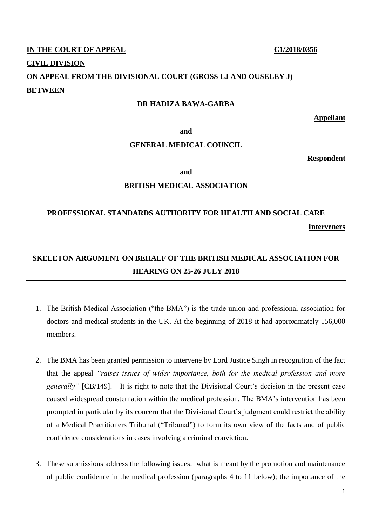### **IN THE COURT OF APPEAL C1/2018/0356**

#### **CIVIL DIVISION**

# **ON APPEAL FROM THE DIVISIONAL COURT (GROSS LJ AND OUSELEY J) BETWEEN**

### **DR HADIZA BAWA-GARBA**

**Appellant**

**and**

### **GENERAL MEDICAL COUNCIL**

**Respondent**

**and**

## **BRITISH MEDICAL ASSOCIATION**

# **PROFESSIONAL STANDARDS AUTHORITY FOR HEALTH AND SOCIAL CARE**

**Interveners**

# **SKELETON ARGUMENT ON BEHALF OF THE BRITISH MEDICAL ASSOCIATION FOR HEARING ON 25-26 JULY 2018**

**\_\_\_\_\_\_\_\_\_\_\_\_\_\_\_\_\_\_\_\_\_\_\_\_\_\_\_\_\_\_\_\_\_\_\_\_\_\_\_\_\_\_\_\_\_\_\_\_\_\_\_\_\_\_\_\_\_\_\_\_\_\_\_\_\_\_\_\_\_\_\_\_\_\_\_\_\_\_\_\_\_\_**

- 1. The British Medical Association ("the BMA") is the trade union and professional association for doctors and medical students in the UK. At the beginning of 2018 it had approximately 156,000 members.
- 2. The BMA has been granted permission to intervene by Lord Justice Singh in recognition of the fact that the appeal *"raises issues of wider importance, both for the medical profession and more generally*" [CB/149]. It is right to note that the Divisional Court's decision in the present case caused widespread consternation within the medical profession. The BMA's intervention has been prompted in particular by its concern that the Divisional Court's judgment could restrict the ability of a Medical Practitioners Tribunal ("Tribunal") to form its own view of the facts and of public confidence considerations in cases involving a criminal conviction.
- 3. These submissions address the following issues: what is meant by the promotion and maintenance of public confidence in the medical profession (paragraphs 4 to 11 below); the importance of the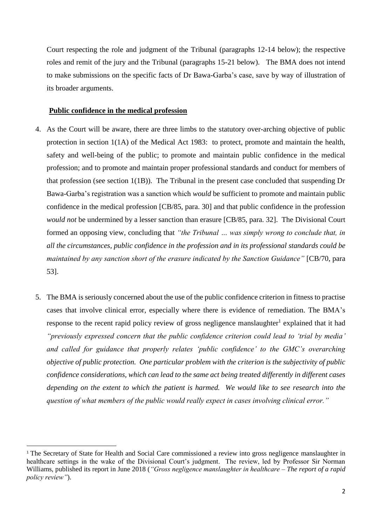Court respecting the role and judgment of the Tribunal (paragraphs 12-14 below); the respective roles and remit of the jury and the Tribunal (paragraphs 15-21 below). The BMA does not intend to make submissions on the specific facts of Dr Bawa-Garba's case, save by way of illustration of its broader arguments.

### **Public confidence in the medical profession**

- 4. As the Court will be aware, there are three limbs to the statutory over-arching objective of public protection in section 1(1A) of the Medical Act 1983: to protect, promote and maintain the health, safety and well-being of the public; to promote and maintain public confidence in the medical profession; and to promote and maintain proper professional standards and conduct for members of that profession (see section 1(1B)). The Tribunal in the present case concluded that suspending Dr Bawa-Garba's registration was a sanction which *would* be sufficient to promote and maintain public confidence in the medical profession [CB/85, para. 30] and that public confidence in the profession *would not* be undermined by a lesser sanction than erasure [CB/85, para. 32]. The Divisional Court formed an opposing view, concluding that *"the Tribunal … was simply wrong to conclude that, in all the circumstances, public confidence in the profession and in its professional standards could be maintained by any sanction short of the erasure indicated by the Sanction Guidance"* [CB/70, para 53].
- 5. The BMA is seriously concerned about the use of the public confidence criterion in fitness to practise cases that involve clinical error, especially where there is evidence of remediation. The BMA's response to the recent rapid policy review of gross negligence manslaughter<sup>1</sup> explained that it had *"previously expressed concern that the public confidence criterion could lead to 'trial by media' and called for guidance that properly relates 'public confidence' to the GMC's overarching objective of public protection. One particular problem with the criterion is the subjectivity of public confidence considerations, which can lead to the same act being treated differently in different cases depending on the extent to which the patient is harmed. We would like to see research into the question of what members of the public would really expect in cases involving clinical error."*

<sup>&</sup>lt;sup>1</sup> The Secretary of State for Health and Social Care commissioned a review into gross negligence manslaughter in healthcare settings in the wake of the Divisional Court's judgment. The review, led by Professor Sir Norman Williams, published its report in June 2018 (*"Gross negligence manslaughter in healthcare – The report of a rapid policy review"*).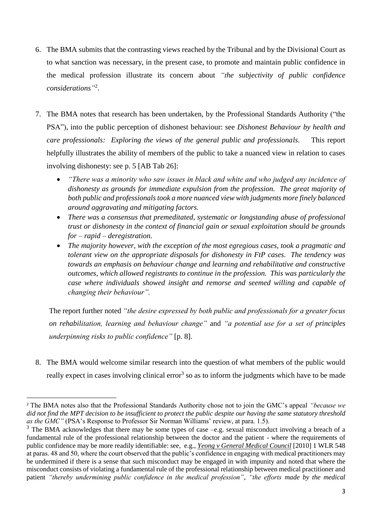- 6. The BMA submits that the contrasting views reached by the Tribunal and by the Divisional Court as to what sanction was necessary, in the present case, to promote and maintain public confidence in the medical profession illustrate its concern about *"the subjectivity of public confidence considerations"* 2 .
- 7. The BMA notes that research has been undertaken, by the Professional Standards Authority ("the PSA"), into the public perception of dishonest behaviour: see *Dishonest Behaviour by health and care professionals: Exploring the views of the general public and professionals*. This report helpfully illustrates the ability of members of the public to take a nuanced view in relation to cases involving dishonesty: see p. 5 [AB Tab 26]:
	- *"There was a minority who saw issues in black and white and who judged any incidence of dishonesty as grounds for immediate expulsion from the profession. The great majority of both public and professionals took a more nuanced view with judgments more finely balanced around aggravating and mitigating factors.*
	- *There was a consensus that premeditated, systematic or longstanding abuse of professional trust or dishonesty in the context of financial gain or sexual exploitation should be grounds for – rapid – deregistration.*
	- *The majority however, with the exception of the most egregious cases, took a pragmatic and tolerant view on the appropriate disposals for dishonesty in FtP cases. The tendency was towards an emphasis on behaviour change and learning and rehabilitative and constructive outcomes, which allowed registrants to continue in the profession. This was particularly the case where individuals showed insight and remorse and seemed willing and capable of changing their behaviour".*

The report further noted *"the desire expressed by both public and professionals for a greater focus on rehabilitation, learning and behaviour change"* and *"a potential use for a set of principles underpinning risks to public confidence"* [p. 8].

8. The BMA would welcome similar research into the question of what members of the public would really expect in cases involving clinical error<sup>3</sup> so as to inform the judgments which have to be made

<sup>2</sup> The BMA notes also that the Professional Standards Authority chose not to join the GMC's appeal *"because we did not find the MPT decision to be insufficient to protect the public despite our having the same statutory threshold as the GMC"* (PSA's Response to Professor Sir Norman Williams' review, at para. 1.5).

 $3$  The BMA acknowledges that there may be some types of case –e.g. sexual misconduct involving a breach of a fundamental rule of the professional relationship between the doctor and the patient - where the requirements of public confidence may be more readily identifiable: see, e.g., *Yeong v General Medical Council* [2010] 1 WLR 548 at paras. 48 and 50, where the court observed that the public's confidence in engaging with medical practitioners may be undermined if there is a sense that such misconduct may be engaged in with impunity and noted that where the misconduct consists of violating a fundamental rule of the professional relationship between medical practitioner and patient *"thereby undermining public confidence in the medical profession"*, *"the efforts made by the medical*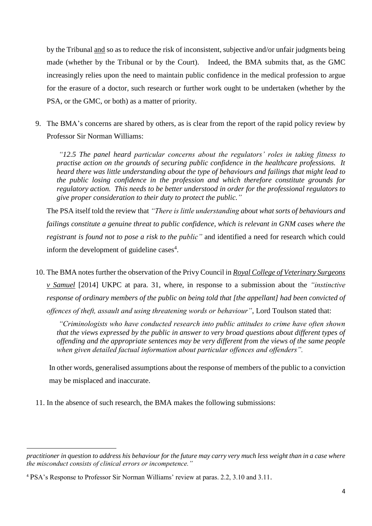by the Tribunal and so as to reduce the risk of inconsistent, subjective and/or unfair judgments being made (whether by the Tribunal or by the Court). Indeed, the BMA submits that, as the GMC increasingly relies upon the need to maintain public confidence in the medical profession to argue for the erasure of a doctor, such research or further work ought to be undertaken (whether by the PSA, or the GMC, or both) as a matter of priority.

9. The BMA's concerns are shared by others, as is clear from the report of the rapid policy review by Professor Sir Norman Williams:

*"12.5 The panel heard particular concerns about the regulators' roles in taking fitness to practise action on the grounds of securing public confidence in the healthcare professions. It heard there was little understanding about the type of behaviours and failings that might lead to the public losing confidence in the profession and which therefore constitute grounds for regulatory action. This needs to be better understood in order for the professional regulators to give proper consideration to their duty to protect the public."*

The PSA itself told the review that *"There is little understanding about what sorts of behaviours and failings constitute a genuine threat to public confidence, which is relevant in GNM cases where the registrant is found not to pose a risk to the public"* and identified a need for research which could inform the development of guideline cases<sup>4</sup>.

10. The BMA notes further the observation of the Privy Council in *Royal College of Veterinary Surgeons v Samuel* [2014] UKPC at para. 31, where, in response to a submission about the *"instinctive response of ordinary members of the public on being told that [the appellant] had been convicted of offences of theft, assault and using threatening words or behaviour"*, Lord Toulson stated that:

*"Criminologists who have conducted research into public attitudes to crime have often shown that the views expressed by the public in answer to very broad questions about different types of offending and the appropriate sentences may be very different from the views of the same people when given detailed factual information about particular offences and offenders".* 

In other words, generalised assumptions about the response of members of the public to a conviction may be misplaced and inaccurate.

11. In the absence of such research, the BMA makes the following submissions:

*practitioner in question to address his behaviour for the future may carry very much less weight than in a case where the misconduct consists of clinical errors or incompetence."*

<sup>4</sup> PSA's Response to Professor Sir Norman Williams' review at paras. 2.2, 3.10 and 3.11.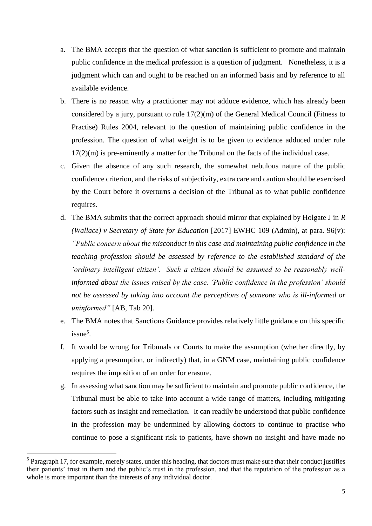- a. The BMA accepts that the question of what sanction is sufficient to promote and maintain public confidence in the medical profession is a question of judgment. Nonetheless, it is a judgment which can and ought to be reached on an informed basis and by reference to all available evidence.
- b. There is no reason why a practitioner may not adduce evidence, which has already been considered by a jury, pursuant to rule 17(2)(m) of the General Medical Council (Fitness to Practise) Rules 2004, relevant to the question of maintaining public confidence in the profession. The question of what weight is to be given to evidence adduced under rule 17(2)(m) is pre-eminently a matter for the Tribunal on the facts of the individual case.
- c. Given the absence of any such research, the somewhat nebulous nature of the public confidence criterion, and the risks of subjectivity, extra care and caution should be exercised by the Court before it overturns a decision of the Tribunal as to what public confidence requires.
- d. The BMA submits that the correct approach should mirror that explained by Holgate J in *R (Wallace) v Secretary of State for Education* [2017] EWHC 109 (Admin), at para. 96(v): *"Public concern about the misconduct in this case and maintaining public confidence in the teaching profession should be assessed by reference to the established standard of the 'ordinary intelligent citizen'. Such a citizen should be assumed to be reasonably wellinformed about the issues raised by the case. 'Public confidence in the profession' should not be assessed by taking into account the perceptions of someone who is ill-informed or uninformed"* [AB, Tab 20].
- e. The BMA notes that Sanctions Guidance provides relatively little guidance on this specific issue<sup>5</sup>.
- f. It would be wrong for Tribunals or Courts to make the assumption (whether directly, by applying a presumption, or indirectly) that, in a GNM case, maintaining public confidence requires the imposition of an order for erasure.
- g. In assessing what sanction may be sufficient to maintain and promote public confidence, the Tribunal must be able to take into account a wide range of matters, including mitigating factors such as insight and remediation. It can readily be understood that public confidence in the profession may be undermined by allowing doctors to continue to practise who continue to pose a significant risk to patients, have shown no insight and have made no

 $<sup>5</sup>$  Paragraph 17, for example, merely states, under this heading, that doctors must make sure that their conduct justifies</sup> their patients' trust in them and the public's trust in the profession, and that the reputation of the profession as a whole is more important than the interests of any individual doctor.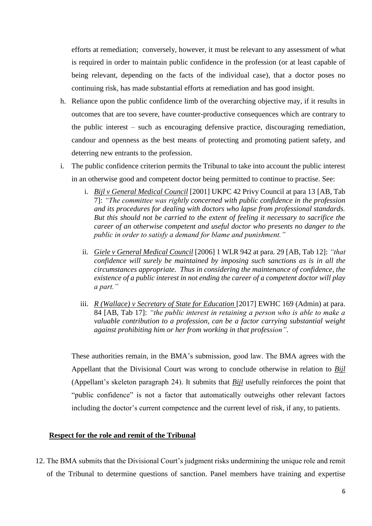efforts at remediation; conversely, however, it must be relevant to any assessment of what is required in order to maintain public confidence in the profession (or at least capable of being relevant, depending on the facts of the individual case), that a doctor poses no continuing risk, has made substantial efforts at remediation and has good insight.

- h. Reliance upon the public confidence limb of the overarching objective may, if it results in outcomes that are too severe, have counter-productive consequences which are contrary to the public interest – such as encouraging defensive practice, discouraging remediation, candour and openness as the best means of protecting and promoting patient safety, and deterring new entrants to the profession.
- i. The public confidence criterion permits the Tribunal to take into account the public interest in an otherwise good and competent doctor being permitted to continue to practise. See:
	- i. *Bijl v General Medical Council* [2001] UKPC 42 Privy Council at para 13 [AB, Tab 7]: *"The committee was rightly concerned with public confidence in the profession and its procedures for dealing with doctors who lapse from professional standards. But this should not be carried to the extent of feeling it necessary to sacrifice the career of an otherwise competent and useful doctor who presents no danger to the public in order to satisfy a demand for blame and punishment."*
	- ii. *Giele v General Medical Council* [2006] 1 WLR 942 at para. 29 [AB, Tab 12]: *"that confidence will surely be maintained by imposing such sanctions as is in all the circumstances appropriate. Thus in considering the maintenance of confidence, the existence of a public interest in not ending the career of a competent doctor will play a part."*
	- iii. *R* (Wallace) *v* Secretary of State for Education [2017] EWHC 169 (Admin) at para. 84 [AB, Tab 17]: *"the public interest in retaining a person who is able to make a valuable contribution to a profession, can be a factor carrying substantial weight against prohibiting him or her from working in that profession"*.

These authorities remain, in the BMA's submission, good law. The BMA agrees with the Appellant that the Divisional Court was wrong to conclude otherwise in relation to *Bijl*  (Appellant's skeleton paragraph 24). It submits that *Bijl* usefully reinforces the point that "public confidence" is not a factor that automatically outweighs other relevant factors including the doctor's current competence and the current level of risk, if any, to patients.

### **Respect for the role and remit of the Tribunal**

12. The BMA submits that the Divisional Court's judgment risks undermining the unique role and remit of the Tribunal to determine questions of sanction. Panel members have training and expertise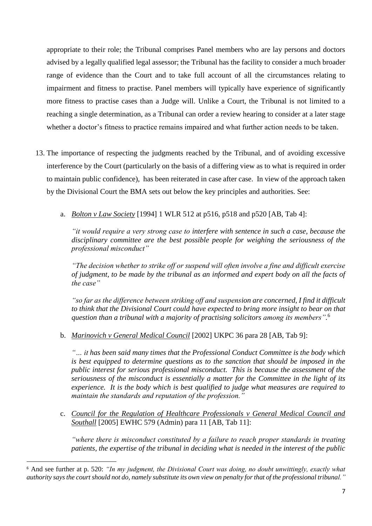appropriate to their role; the Tribunal comprises Panel members who are lay persons and doctors advised by a legally qualified legal assessor; the Tribunal has the facility to consider a much broader range of evidence than the Court and to take full account of all the circumstances relating to impairment and fitness to practise. Panel members will typically have experience of significantly more fitness to practise cases than a Judge will. Unlike a Court, the Tribunal is not limited to a reaching a single determination, as a Tribunal can order a review hearing to consider at a later stage whether a doctor's fitness to practice remains impaired and what further action needs to be taken.

- 13. The importance of respecting the judgments reached by the Tribunal, and of avoiding excessive interference by the Court (particularly on the basis of a differing view as to what is required in order to maintain public confidence), has been reiterated in case after case. In view of the approach taken by the Divisional Court the BMA sets out below the key principles and authorities. See:
	- a. *Bolton v Law Society* [1994] 1 WLR 512 at p516, p518 and p520 [AB, Tab 4]:

*"it would require a very strong case to interfere with sentence in such a case, because the disciplinary committee are the best possible people for weighing the seriousness of the professional misconduct"*

*"The decision whether to strike off or suspend will often involve a fine and difficult exercise of judgment, to be made by the tribunal as an informed and expert body on all the facts of the case"*

*"so far as the difference between striking off and suspension are concerned, I find it difficult to think that the Divisional Court could have expected to bring more insight to bear on that question than a tribunal with a majority of practising solicitors among its members".* 6

b. *Marinovich v General Medical Council* [2002] UKPC 36 para 28 [AB, Tab 9]:

*"… it has been said many times that the Professional Conduct Committee is the body which is best equipped to determine questions as to the sanction that should be imposed in the public interest for serious professional misconduct. This is because the assessment of the seriousness of the misconduct is essentially a matter for the Committee in the light of its experience. It is the body which is best qualified to judge what measures are required to maintain the standards and reputation of the profession."*

c. *Council for the Regulation of Healthcare Professionals v General Medical Council and Southall* [2005] EWHC 579 (Admin) para 11 [AB, Tab 11]:

*"where there is misconduct constituted by a failure to reach proper standards in treating patients, the expertise of the tribunal in deciding what is needed in the interest of the public* 

<sup>6</sup> And see further at p. 520: *"In my judgment, the Divisional Court was doing, no doubt unwittingly, exactly what authority says the court should not do, namely substitute its own view on penalty for that of the professional tribunal."*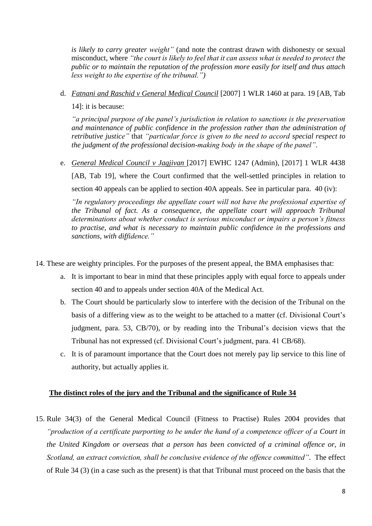*is likely to carry greater weight"* (and note the contrast drawn with dishonesty or sexual misconduct, where *"the court is likely to feel that it can assess what is needed to protect the public or to maintain the reputation of the profession more easily for itself and thus attach less weight to the expertise of the tribunal.")*

d. *Fatnani and Raschid v General Medical Council* [2007] 1 WLR 1460 at para. 19 [AB, Tab 14]: it is because:

*"a principal purpose of the panel's jurisdiction in relation to sanctions is the preservation and maintenance of public confidence in the profession rather than the administration of retributive justice"* that *"particular force is given to the need to accord special respect to the judgment of the professional decision-making body in the shape of the panel"*.

e. *General Medical Council v Jagjivan* [2017] EWHC 1247 (Admin), [2017] 1 WLR 4438

[AB, Tab 19], where the Court confirmed that the well-settled principles in relation to section 40 appeals can be applied to section 40A appeals. See in particular para. 40 (iv):

*"In regulatory proceedings the appellate court will not have the professional expertise of the Tribunal of fact. As a consequence, the appellate court will approach Tribunal determinations about whether conduct is serious misconduct or impairs a person's fitness to practise, and what is necessary to maintain public confidence in the professions and sanctions, with diffidence."*

- 14. These are weighty principles. For the purposes of the present appeal, the BMA emphasises that:
	- a. It is important to bear in mind that these principles apply with equal force to appeals under section 40 and to appeals under section 40A of the Medical Act.
	- b. The Court should be particularly slow to interfere with the decision of the Tribunal on the basis of a differing view as to the weight to be attached to a matter (cf. Divisional Court's judgment, para. 53, CB/70), or by reading into the Tribunal's decision views that the Tribunal has not expressed (cf. Divisional Court's judgment, para. 41 CB/68).
	- c. It is of paramount importance that the Court does not merely pay lip service to this line of authority, but actually applies it.

## **The distinct roles of the jury and the Tribunal and the significance of Rule 34**

15. Rule 34(3) of the General Medical Council (Fitness to Practise) Rules 2004 provides that *"production of a certificate purporting to be under the hand of a competence officer of a Court in the United Kingdom or overseas that a person has been convicted of a criminal offence or, in Scotland, an extract conviction, shall be conclusive evidence of the offence committed"*. The effect of Rule 34 (3) (in a case such as the present) is that that Tribunal must proceed on the basis that the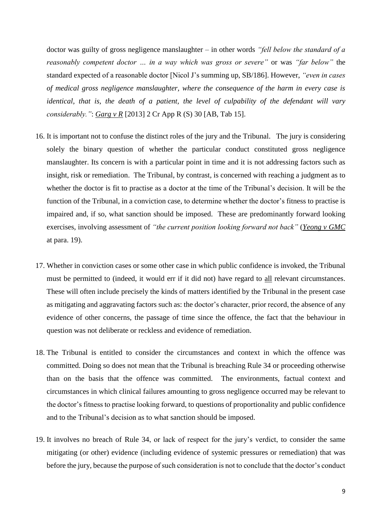doctor was guilty of gross negligence manslaughter – in other words *"fell below the standard of a reasonably competent doctor … in a way which was gross or severe"* or was *"far below"* the standard expected of a reasonable doctor [Nicol J's summing up, SB/186]. However, *"even in cases of medical gross negligence manslaughter, where the consequence of the harm in every case is identical, that is, the death of a patient, the level of culpability of the defendant will vary considerably."*: *Garg v R* [2013] 2 Cr App R (S) 30 [AB, Tab 15].

- 16. It is important not to confuse the distinct roles of the jury and the Tribunal. The jury is considering solely the binary question of whether the particular conduct constituted gross negligence manslaughter. Its concern is with a particular point in time and it is not addressing factors such as insight, risk or remediation. The Tribunal, by contrast, is concerned with reaching a judgment as to whether the doctor is fit to practise as a doctor at the time of the Tribunal's decision. It will be the function of the Tribunal, in a conviction case, to determine whether the doctor's fitness to practise is impaired and, if so, what sanction should be imposed. These are predominantly forward looking exercises, involving assessment of *"the current position looking forward not back"* (*Yeong v GMC* at para. 19).
- 17. Whether in conviction cases or some other case in which public confidence is invoked, the Tribunal must be permitted to (indeed, it would err if it did not) have regard to all relevant circumstances. These will often include precisely the kinds of matters identified by the Tribunal in the present case as mitigating and aggravating factors such as: the doctor's character, prior record, the absence of any evidence of other concerns, the passage of time since the offence, the fact that the behaviour in question was not deliberate or reckless and evidence of remediation.
- 18. The Tribunal is entitled to consider the circumstances and context in which the offence was committed. Doing so does not mean that the Tribunal is breaching Rule 34 or proceeding otherwise than on the basis that the offence was committed. The environments, factual context and circumstances in which clinical failures amounting to gross negligence occurred may be relevant to the doctor's fitness to practise looking forward, to questions of proportionality and public confidence and to the Tribunal's decision as to what sanction should be imposed.
- 19. It involves no breach of Rule 34, or lack of respect for the jury's verdict, to consider the same mitigating (or other) evidence (including evidence of systemic pressures or remediation) that was before the jury, because the purpose of such consideration is not to conclude that the doctor's conduct